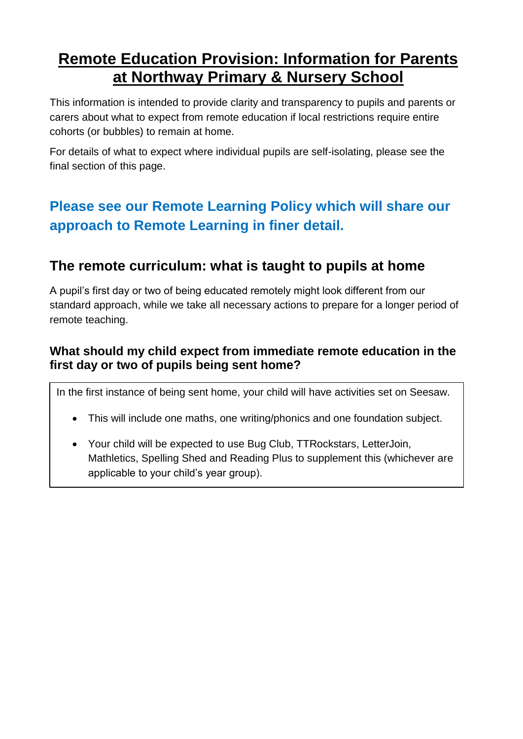# **Remote Education Provision: Information for Parents at Northway Primary & Nursery School**

This information is intended to provide clarity and transparency to pupils and parents or carers about what to expect from remote education if local restrictions require entire cohorts (or bubbles) to remain at home.

For details of what to expect where individual pupils are self-isolating, please see the final section of this page.

# **Please see our Remote Learning Policy which will share our approach to Remote Learning in finer detail.**

## **The remote curriculum: what is taught to pupils at home**

A pupil's first day or two of being educated remotely might look different from our standard approach, while we take all necessary actions to prepare for a longer period of remote teaching.

## **What should my child expect from immediate remote education in the first day or two of pupils being sent home?**

In the first instance of being sent home, your child will have activities set on Seesaw.

- This will include one maths, one writing/phonics and one foundation subject.
- Your child will be expected to use Bug Club, TTRockstars, LetterJoin, Mathletics, Spelling Shed and Reading Plus to supplement this (whichever are applicable to your child's year group).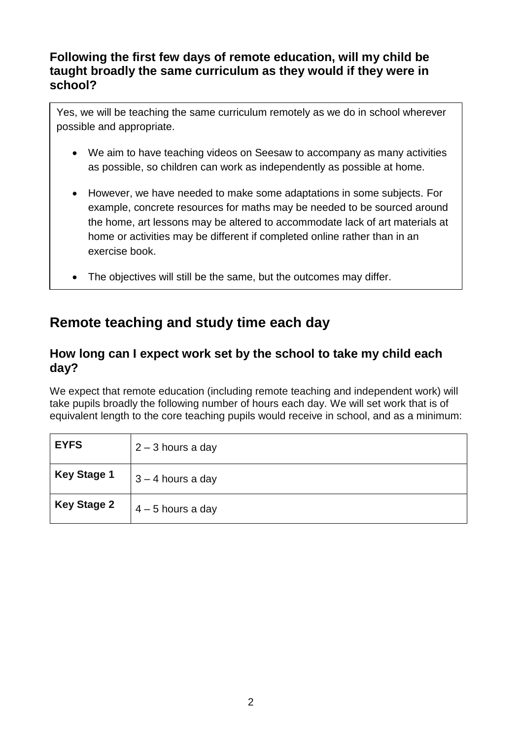### **Following the first few days of remote education, will my child be taught broadly the same curriculum as they would if they were in school?**

Yes, we will be teaching the same curriculum remotely as we do in school wherever possible and appropriate.

- We aim to have teaching videos on Seesaw to accompany as many activities as possible, so children can work as independently as possible at home.
- However, we have needed to make some adaptations in some subjects. For example, concrete resources for maths may be needed to be sourced around the home, art lessons may be altered to accommodate lack of art materials at home or activities may be different if completed online rather than in an exercise book.
- The objectives will still be the same, but the outcomes may differ.

## **Remote teaching and study time each day**

#### **How long can I expect work set by the school to take my child each day?**

We expect that remote education (including remote teaching and independent work) will take pupils broadly the following number of hours each day. We will set work that is of equivalent length to the core teaching pupils would receive in school, and as a minimum:

| <b>EYFS</b>        | $2 - 3$ hours a day |
|--------------------|---------------------|
| <b>Key Stage 1</b> | $3 - 4$ hours a day |
| <b>Key Stage 2</b> | $4 - 5$ hours a day |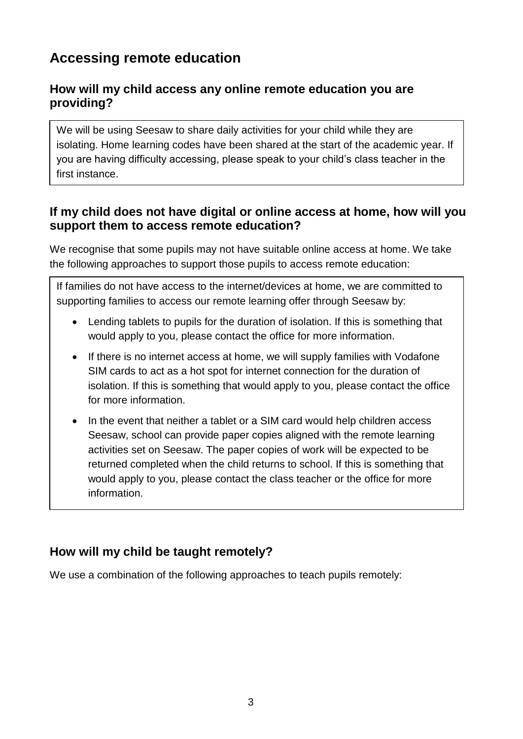## **Accessing remote education**

## **How will my child access any online remote education you are providing?**

We will be using Seesaw to share daily activities for your child while they are isolating. Home learning codes have been shared at the start of the academic year. If you are having difficulty accessing, please speak to your child's class teacher in the first instance.

### **If my child does not have digital or online access at home, how will you support them to access remote education?**

We recognise that some pupils may not have suitable online access at home. We take the following approaches to support those pupils to access remote education:

If families do not have access to the internet/devices at home, we are committed to supporting families to access our remote learning offer through Seesaw by:

- Lending tablets to pupils for the duration of isolation. If this is something that would apply to you, please contact the office for more information.
- If there is no internet access at home, we will supply families with Vodafone SIM cards to act as a hot spot for internet connection for the duration of isolation. If this is something that would apply to you, please contact the office for more information.
- In the event that neither a tablet or a SIM card would help children access Seesaw, school can provide paper copies aligned with the remote learning activities set on Seesaw. The paper copies of work will be expected to be returned completed when the child returns to school. If this is something that would apply to you, please contact the class teacher or the office for more information.

## **How will my child be taught remotely?**

We use a combination of the following approaches to teach pupils remotely: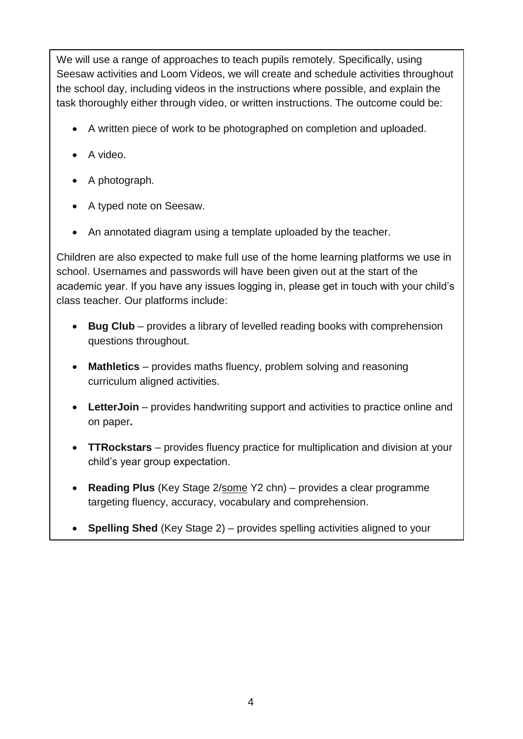We will use a range of approaches to teach pupils remotely. Specifically, using Seesaw activities and Loom Videos, we will create and schedule activities throughout the school day, including videos in the instructions where possible, and explain the task thoroughly either through video, or written instructions. The outcome could be:

- A written piece of work to be photographed on completion and uploaded.
- A video.
- A photograph.
- A typed note on Seesaw.

child is year group expectations. The system of the system of the system of the system of the system of the system of the system of the system of the system of the system of the system of the system of the system of the sy

• An annotated diagram using a template uploaded by the teacher.

Children are also expected to make full use of the home learning platforms we use in school. Usernames and passwords will have been given out at the start of the academic year. If you have any issues logging in, please get in touch with your child's class teacher. Our platforms include:

- **Bug Club** provides a library of levelled reading books with comprehension questions throughout.
- **Mathletics** provides maths fluency, problem solving and reasoning curriculum aligned activities.
- **LetterJoin** provides handwriting support and activities to practice online and on paper**.**
- **TTRockstars** provides fluency practice for multiplication and division at your child's year group expectation.
- **Reading Plus** (Key Stage 2/some Y2 chn) provides a clear programme targeting fluency, accuracy, vocabulary and comprehension.
- **Spelling Shed** (Key Stage 2) provides spelling activities aligned to your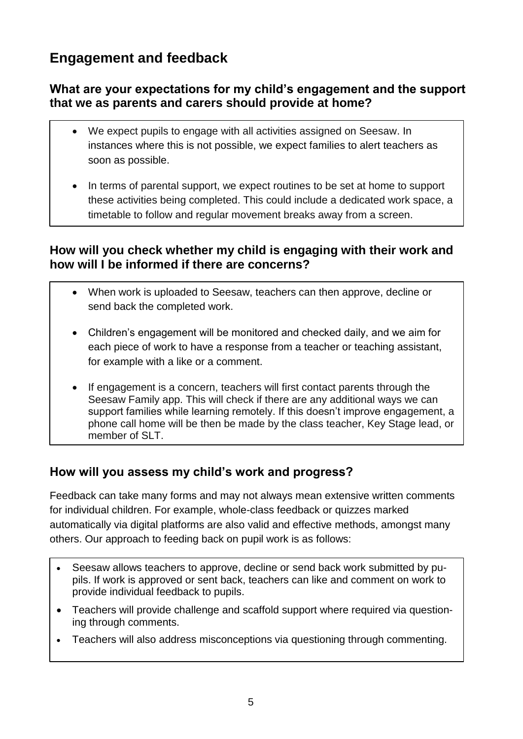## **Engagement and feedback**

## **What are your expectations for my child's engagement and the support that we as parents and carers should provide at home?**

- We expect pupils to engage with all activities assigned on Seesaw. In instances where this is not possible, we expect families to alert teachers as soon as possible.
- In terms of parental support, we expect routines to be set at home to support these activities being completed. This could include a dedicated work space, a timetable to follow and regular movement breaks away from a screen.

### **How will you check whether my child is engaging with their work and how will I be informed if there are concerns?**

- When work is uploaded to Seesaw, teachers can then approve, decline or send back the completed work.
- Children's engagement will be monitored and checked daily, and we aim for each piece of work to have a response from a teacher or teaching assistant, for example with a like or a comment.
- If engagement is a concern, teachers will first contact parents through the Seesaw Family app. This will check if there are any additional ways we can support families while learning remotely. If this doesn't improve engagement, a phone call home will be then be made by the class teacher, Key Stage lead, or member of SLT.

## **How will you assess my child's work and progress?**

Feedback can take many forms and may not always mean extensive written comments for individual children. For example, whole-class feedback or quizzes marked automatically via digital platforms are also valid and effective methods, amongst many others. Our approach to feeding back on pupil work is as follows:

- Seesaw allows teachers to approve, decline or send back work submitted by pupils. If work is approved or sent back, teachers can like and comment on work to provide individual feedback to pupils.
- Teachers will provide challenge and scaffold support where required via questioning through comments.
- Teachers will also address misconceptions via questioning through commenting.